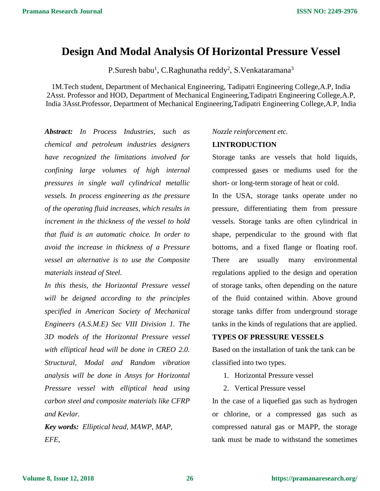# **Design And Modal Analysis Of Horizontal Pressure Vessel**

P.Suresh babu<sup>1</sup>, C.Raghunatha reddy<sup>2</sup>, S.Venkataramana<sup>3</sup>

1M.Tech student, Department of Mechanical Engineering, Tadipatri Engineering College,A.P, India 2Asst. Professor and HOD, Department of Mechanical Engineering,Tadipatri Engineering College,A.P, India 3Asst.Professor, Department of Mechanical Engineering,Tadipatri Engineering College,A.P, India

*Abstract: In Process Industries, such as chemical and petroleum industries designers have recognized the limitations involved for confining large volumes of high internal pressures in single wall cylindrical metallic vessels. In process engineering as the pressure of the operating fluid increases, which results in increment in the thickness of the vessel to hold that fluid is an automatic choice. In order to avoid the increase in thickness of a Pressure vessel an alternative is to use the Composite materials instead of Steel.*

*In this thesis, the Horizontal Pressure vessel will be deigned according to the principles specified in American Society of Mechanical Engineers (A.S.M.E) Sec VIII Division 1. The 3D models of the Horizontal Pressure vessel with elliptical head will be done in CREO 2.0. Structural, Modal and Random vibration analysis will be done in Ansys for Horizontal Pressure vessel with elliptical head using carbon steel and composite materials like CFRP and Kevlar.*

*Key words: Elliptical head, MAWP, MAP, EFE,*

#### *Nozzle reinforcement etc.*

#### **I.INTRODUCTION**

Storage tanks are vessels that hold liquids, compressed gases or mediums used for the short- or long-term storage of heat or cold.

In the USA, storage tanks operate under no pressure, differentiating them from pressure vessels. Storage tanks are often cylindrical in shape, perpendicular to the ground with flat bottoms, and a fixed flange or floating roof. There are usually many environmental regulations applied to the design and operation of storage tanks, often depending on the nature of the fluid contained within. Above ground storage tanks differ from underground storage tanks in the kinds of regulations that are applied.

### **TYPES OF PRESSURE VESSELS**

Based on the installation of tank the tank can be classified into two types.

- 1. Horizontal Pressure vessel
- 2. Vertical Pressure vessel

In the case of a liquefied gas such as hydrogen or chlorine, or a compressed gas such as compressed natural gas or MAPP, the storage tank must be made to withstand the sometimes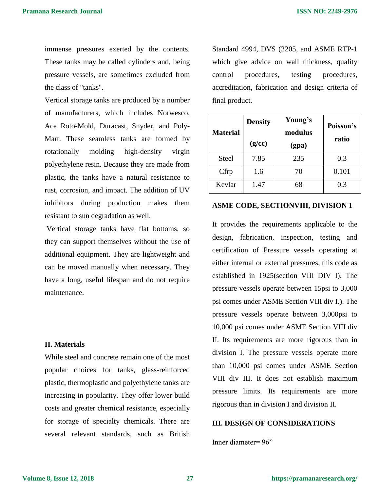immense pressures exerted by the contents. These tanks may be called cylinders and, being pressure vessels, are sometimes excluded from the class of "tanks".

Vertical storage tanks are produced by a number of manufacturers, which includes Norwesco, Ace Roto-Mold, Duracast, Snyder, and Poly-Mart. These seamless tanks are formed by rotationally molding high-density virgin polyethylene resin. Because they are made from plastic, the tanks have a natural resistance to rust, corrosion, and impact. The addition of UV inhibitors during production makes them resistant to sun degradation as well.

Vertical storage tanks have flat bottoms, so they can support themselves without the use of additional equipment. They are lightweight and can be moved manually when necessary. They have a long, useful lifespan and do not require maintenance.

### **II. Materials**

While steel and concrete remain one of the most popular choices for tanks, glass-reinforced plastic, thermoplastic and polyethylene tanks are increasing in popularity. They offer lower build costs and greater chemical resistance, especially for storage of specialty chemicals. There are several relevant standards, such as British Standard 4994, DVS (2205, and ASME RTP-1 which give advice on wall thickness, quality control procedures, testing procedures, accreditation, fabrication and design criteria of final product.

| <b>Material</b> | <b>Density</b><br>(g/cc) | Young's<br>modulus<br>(gpa) | Poisson's<br>ratio |
|-----------------|--------------------------|-----------------------------|--------------------|
| <b>Steel</b>    | 7.85                     | 235                         | 0.3                |
| Cfrp            | 1.6                      | 70                          | 0.101              |
| Kevlar          | 1.47                     | 68                          | 0.3                |

### **ASME CODE, SECTIONVIII, DIVISION 1**

It provides the requirements applicable to the design, fabrication, inspection, testing and certification of Pressure vessels operating at either internal or external pressures, this code as established in 1925(section VIII DIV I). The pressure vessels operate between 15psi to 3,000 psi comes under ASME Section VIII div I.). The pressure vessels operate between 3,000psi to 10,000 psi comes under ASME Section VIII div II. Its requirements are more rigorous than in division I. The pressure vessels operate more than 10,000 psi comes under ASME Section VIII div III. It does not establish maximum pressure limits. Its requirements are more rigorous than in division I and division II.

### **III. DESIGN OF CONSIDERATIONS**

Inner diameter= 96"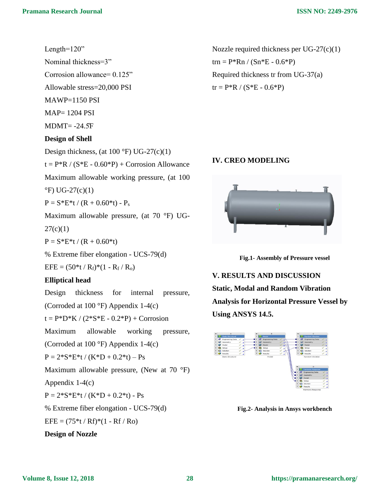# Length=120"

Nominal thickness=3" Corrosion allowance= 0.125" Allowable stress=20,000 PSI  $MAWP=1150$  PSI  $MAP= 1204$  PSI  $MDMT = -24.5F$ 

### **Design of Shell**

Design thickness, (at  $100^\circ F$ ) UG-27(c)(1)

 $t = P^*R / (S^*E - 0.60^*P) + \text{Corrosion}$  Allowance

Maximum allowable working pressure, (at 100

 $\rm{^{\circ}F}$ ) UG-27(c)(1)

 $P = S*E*t / (R + 0.60*t) - P_s$ 

Maximum allowable pressure, (at 70 °F) UG-

 $27(c)(1)$ 

 $P = S*E*t/(R + 0.60*t)$ 

% Extreme fiber elongation - UCS-79(d)

 $EFE = (50*t/R_f)*(1 - R_f/R_o)$ 

### **Elliptical head**

Design thickness for internal pressure, (Corroded at 100 °F) Appendix 1-4(c)  $t = P^*D^*K / (2^*S^*E - 0.2^*P) + \text{Corrosion}$ Maximum allowable working pressure, (Corroded at 100 °F) Appendix 1-4(c)  $P = 2*S*E*t / (K*D + 0.2*t) - Ps$ Maximum allowable pressure, (New at 70 °F) Appendix 1-4(c)  $P = 2*S*E*t/(K*D + 0.2*t) - Ps$ % Extreme fiber elongation - UCS-79(d)  $EFE = (75*t/RF)*(1 - RF/Ro)$ **Design of Nozzle**

Nozzle required thickness per UG-27(c)(1)  $\text{trn} = P^* \text{Rn} / (\text{Sn*E} - 0.6^* \text{P})$ Required thickness tr from UG-37(a)  $tr = P^*R / (S^*E - 0.6^*P)$ 

## **IV. CREO MODELING**



**Fig.1- Assembly of Pressure vessel**

**V. RESULTS AND DISCUSSION Static, Modal and Random Vibration Analysis for Horizontal Pressure Vessel by Using ANSYS 14.5.**



**Fig.2- Analysis in Ansys workbench**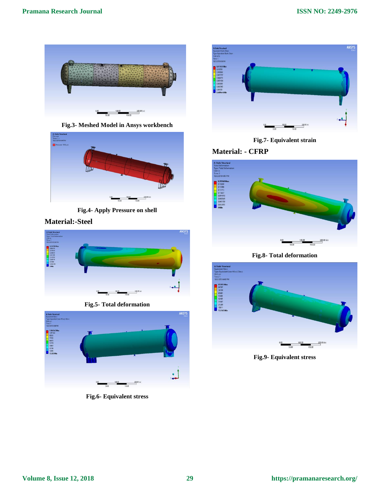

**Fig.3- Meshed Model in Ansys workbench**



**Fig.4- Apply Pressure on shell**

### **Material:-Steel**



**Fig.5- Total deformation**



**Fig.6- Equivalent stress**



**Fig.7- Equivalent strain**

# **Material: - CFRP**



**Fig.8- Total deformation**



**Fig.9- Equivalent stress**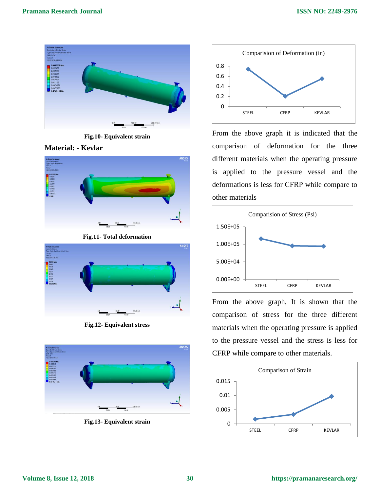

**Fig.10- Equivalent strain**





**Fig.11- Total deformation**



**Fig.12- Equivalent stress**



**Fig.13- Equivalent strain**



From the above graph it is indicated that the comparison of deformation for the three different materials when the operating pressure is applied to the pressure vessel and the deformations is less for CFRP while compare to other materials



From the above graph, It is shown that the comparison of stress for the three different materials when the operating pressure is applied to the pressure vessel and the stress is less for CFRP while compare to other materials.

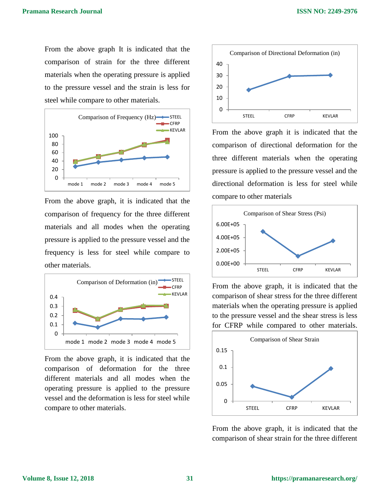From the above graph It is indicated that the comparison of strain for the three different materials when the operating pressure is applied to the pressure vessel and the strain is less for steel while compare to other materials.



From the above graph, it is indicated that the comparison of frequency for the three different materials and all modes when the operating pressure is applied to the pressure vessel and the frequency is less for steel while compare to other materials.



From the above graph, it is indicated that the comparison of deformation for the three different materials and all modes when the operating pressure is applied to the pressure vessel and the deformation is less for steel while compare to other materials.



From the above graph it is indicated that the comparison of directional deformation for the three different materials when the operating pressure is applied to the pressure vessel and the directional deformation is less for steel while compare to other materials



From the above graph, it is indicated that the comparison of shear stress for the three different materials when the operating pressure is applied to the pressure vessel and the shear stress is less for CFRP while compared to other materials.



From the above graph, it is indicated that the comparison of shear strain for the three different